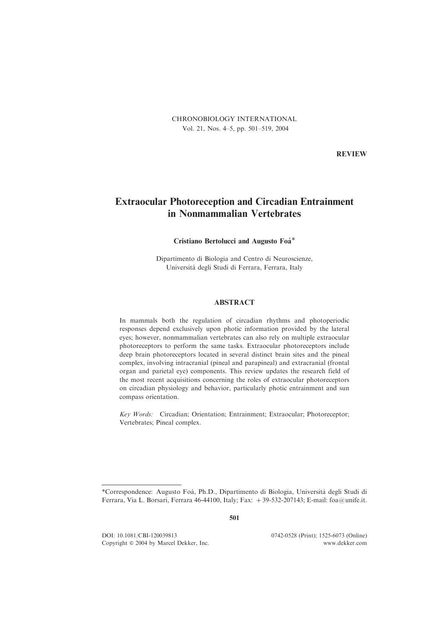CHRONOBIOLOGY INTERNATIONAL Vol. 21, Nos. 4–5, pp. 501–519, 2004

REVIEW

# Extraocular Photoreception and Circadian Entrainment in Nonmammalian Vertebrates

# Cristiano Bertolucci and Augusto Foa`\*

Dipartimento di Biologia and Centro di Neuroscienze, Universita` degli Studi di Ferrara, Ferrara, Italy

# ABSTRACT

In mammals both the regulation of circadian rhythms and photoperiodic responses depend exclusively upon photic information provided by the lateral eyes; however, nonmammalian vertebrates can also rely on multiple extraocular photoreceptors to perform the same tasks. Extraocular photoreceptors include deep brain photoreceptors located in several distinct brain sites and the pineal complex, involving intracranial (pineal and parapineal) and extracranial (frontal organ and parietal eye) components. This review updates the research field of the most recent acquisitions concerning the roles of extraocular photoreceptors on circadian physiology and behavior, particularly photic entrainment and sun compass orientation.

Key Words: Circadian; Orientation; Entrainment; Extraocular; Photoreceptor; Vertebrates; Pineal complex.

501

DOI: 10.1081/CBI-120039813 0742-0528 (Print); 1525-6073 (Online) Copyright *&* 2004 by Marcel Dekker, Inc. www.dekker.com

<sup>\*</sup>Correspondence: Augusto Foa`, Ph.D., Dipartimento di Biologia, Universita` degli Studi di Ferrara, Via L. Borsari, Ferrara 46-44100, Italy; Fax: +39-532-207143; E-mail: foa@unife.it.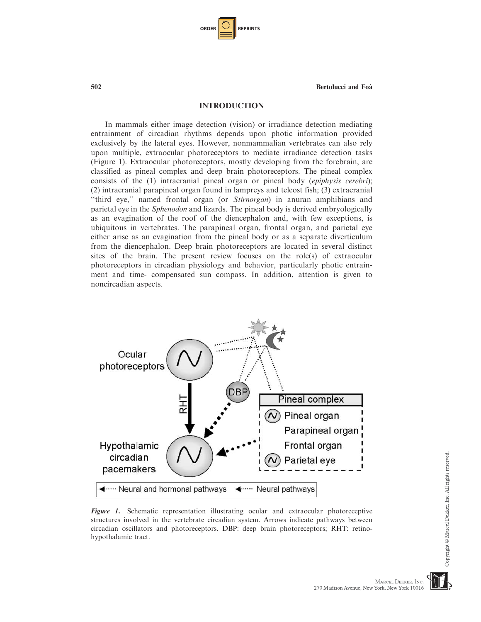| <b>ORDER</b> |  | <b>REPRINTS</b> |
|--------------|--|-----------------|
|--------------|--|-----------------|

## INTRODUCTION

In mammals either image detection (vision) or irradiance detection mediating entrainment of circadian rhythms depends upon photic information provided exclusively by the lateral eyes. However, nonmammalian vertebrates can also rely upon multiple, extraocular photoreceptors to mediate irradiance detection tasks (Figure 1). Extraocular photoreceptors, mostly developing from the forebrain, are classified as pineal complex and deep brain photoreceptors. The pineal complex consists of the (1) intracranial pineal organ or pineal body (epiphysis cerebri); (2) intracranial parapineal organ found in lampreys and teleost fish; (3) extracranial ''third eye,'' named frontal organ (or Stirnorgan) in anuran amphibians and parietal eye in the Sphenodon and lizards. The pineal body is derived embryologically as an evagination of the roof of the diencephalon and, with few exceptions, is ubiquitous in vertebrates. The parapineal organ, frontal organ, and parietal eye either arise as an evagination from the pineal body or as a separate diverticulum from the diencephalon. Deep brain photoreceptors are located in several distinct sites of the brain. The present review focuses on the role(s) of extraocular photoreceptors in circadian physiology and behavior, particularly photic entrainment and time- compensated sun compass. In addition, attention is given to noncircadian aspects.



Figure 1. Schematic representation illustrating ocular and extraocular photoreceptive structures involved in the vertebrate circadian system. Arrows indicate pathways between circadian oscillators and photoreceptors. DBP: deep brain photoreceptors; RHT: retinohypothalamic tract.

Copyright © Marcel Dekker, Inc. All rights reserved

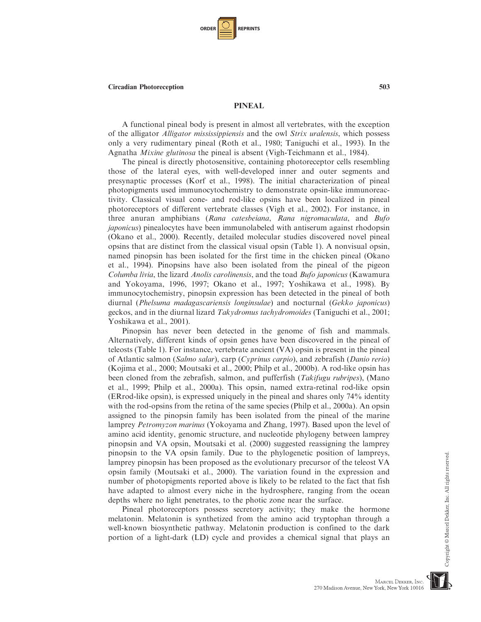| <b>ORDER</b> |  | <b>REPRINTS</b> |
|--------------|--|-----------------|
|--------------|--|-----------------|

#### PINEAL

A functional pineal body is present in almost all vertebrates, with the exception of the alligator Alligator mississippiensis and the owl Strix uralensis, which possess only a very rudimentary pineal (Roth et al., 1980; Taniguchi et al., 1993). In the Agnatha Mixine glutinosa the pineal is absent (Vigh-Teichmann et al., 1984).

The pineal is directly photosensitive, containing photoreceptor cells resembling those of the lateral eyes, with well-developed inner and outer segments and presynaptic processes (Korf et al., 1998). The initial characterization of pineal photopigments used immunocytochemistry to demonstrate opsin-like immunoreactivity. Classical visual cone- and rod-like opsins have been localized in pineal photoreceptors of different vertebrate classes (Vigh et al., 2002). For instance, in three anuran amphibians (Rana catesbeiana, Rana nigromaculata, and Bufo japonicus) pinealocytes have been immunolabeled with antiserum against rhodopsin (Okano et al., 2000). Recently, detailed molecular studies discovered novel pineal opsins that are distinct from the classical visual opsin (Table 1). A nonvisual opsin, named pinopsin has been isolated for the first time in the chicken pineal (Okano et al., 1994). Pinopsins have also been isolated from the pineal of the pigeon Columba livia, the lizard Anolis carolinensis, and the toad Bufo japonicus (Kawamura and Yokoyama, 1996, 1997; Okano et al., 1997; Yoshikawa et al., 1998). By immunocytochemistry, pinopsin expression has been detected in the pineal of both diurnal (Phelsuma madagascariensis longinsulae) and nocturnal (Gekko japonicus) geckos, and in the diurnal lizard Takydromus tachydromoides (Taniguchi et al., 2001; Yoshikawa et al., 2001).

Pinopsin has never been detected in the genome of fish and mammals. Alternatively, different kinds of opsin genes have been discovered in the pineal of teleosts (Table 1). For instance, vertebrate ancient (VA) opsin is present in the pineal of Atlantic salmon (Salmo salar), carp (Cyprinus carpio), and zebrafish (Danio rerio) (Kojima et al., 2000; Moutsaki et al., 2000; Philp et al., 2000b). A rod-like opsin has been cloned from the zebrafish, salmon, and pufferfish (Takifugu rubripes), (Mano et al., 1999; Philp et al., 2000a). This opsin, named extra-retinal rod-like opsin (ERrod-like opsin), is expressed uniquely in the pineal and shares only 74% identity with the rod-opsins from the retina of the same species (Philp et al., 2000a). An opsin assigned to the pinopsin family has been isolated from the pineal of the marine lamprey Petromyzon marinus (Yokoyama and Zhang, 1997). Based upon the level of amino acid identity, genomic structure, and nucleotide phylogeny between lamprey pinopsin and VA opsin, Moutsaki et al. (2000) suggested reassigning the lamprey pinopsin to the VA opsin family. Due to the phylogenetic position of lampreys, lamprey pinopsin has been proposed as the evolutionary precursor of the teleost VA opsin family (Moutsaki et al., 2000). The variation found in the expression and number of photopigments reported above is likely to be related to the fact that fish have adapted to almost every niche in the hydrosphere, ranging from the ocean depths where no light penetrates, to the photic zone near the surface.

Pineal photoreceptors possess secretory activity; they make the hormone melatonin. Melatonin is synthetized from the amino acid tryptophan through a well-known biosynthetic pathway. Melatonin production is confined to the dark portion of a light-dark (LD) cycle and provides a chemical signal that plays an

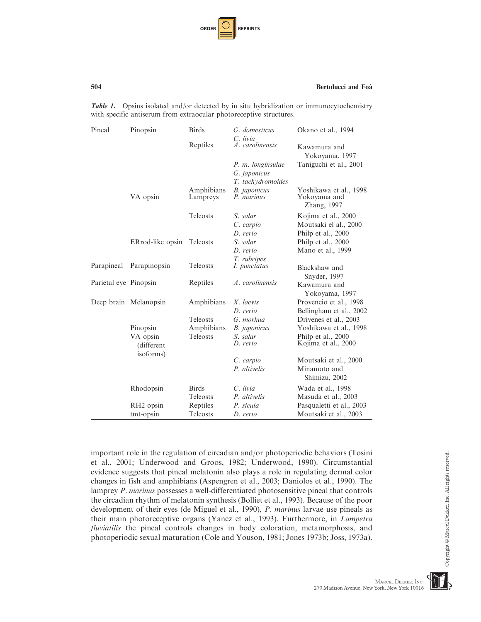| <b>ORDER</b> |  | <b>REPRINTS</b> |
|--------------|--|-----------------|
|--------------|--|-----------------|

| Pineal                | Pinopsin                            | <b>Birds</b>           | G. domesticus                                            | Okano et al., 1994                                                 |
|-----------------------|-------------------------------------|------------------------|----------------------------------------------------------|--------------------------------------------------------------------|
|                       |                                     | Reptiles               | C. livia<br>A. carolinensis                              | Kawamura and<br>Yokoyama, 1997                                     |
|                       |                                     |                        | P. m. longinsulae<br>G. japonicus                        | Taniguchi et al., 2001                                             |
|                       | VA opsin                            | Amphibians<br>Lampreys | T. tachydromoides<br><b>B.</b> japonicus<br>$P.$ marinus | Yoshikawa et al., 1998<br>Yokoyama and<br>Zhang, 1997              |
|                       |                                     | Teleosts               | S. salar<br>C. carpio<br>D. rerio                        | Kojima et al., 2000<br>Moutsaki el al., 2000<br>Philp et al., 2000 |
|                       | ERrod-like opsin                    | Teleosts               | S. salar<br>D. rerio                                     | Philp et al., 2000<br>Mano et al., 1999                            |
| Parapineal            | Parapinopsin                        | <b>Teleosts</b>        | T. rubripes<br>I. punctatus                              | Blackshaw and<br>Snyder, 1997                                      |
| Parietal eye Pinopsin |                                     | Reptiles               | A. carolinensis                                          | Kawamura and<br>Yokoyama, 1997                                     |
|                       | Deep brain Melanopsin               | Amphibians             | X. laevis<br>D. rerio                                    | Provencio et al., 1998<br>Bellingham et al., 2002                  |
|                       |                                     | <b>Teleosts</b>        | G. morhua                                                | Drivenes et al., 2003                                              |
|                       | Pinopsin                            | Amphibians             | <b>B.</b> japonicus                                      | Yoshikawa et al., 1998                                             |
|                       | VA opsin<br>(different<br>isoforms) | <b>Teleosts</b>        | S. salar<br>D. rerio                                     | Philp et al., 2000<br>Kojima et al., 2000                          |
|                       |                                     |                        | C. carpio<br>P. altivelis                                | Moutsaki et al., 2000<br>Minamoto and<br>Shimizu, 2002             |
|                       | Rhodopsin                           | <b>Birds</b>           | $C.$ livia                                               | Wada et al., 1998                                                  |
|                       |                                     | Teleosts               | P. altivelis                                             | Masuda et al., 2003                                                |
|                       | RH <sub>2</sub> opsin<br>tmt-opsin  | Reptiles<br>Teleosts   | P. sicula<br>D. rerio                                    | Pasqualetti et al., 2003<br>Moutsaki et al., 2003                  |

**Table 1.** Opsins isolated and/or detected by in situ hybridization or immunocytochemistry with specific antiserum from extraocular photoreceptive structures.

important role in the regulation of circadian and/or photoperiodic behaviors (Tosini et al., 2001; Underwood and Groos, 1982; Underwood, 1990). Circumstantial evidence suggests that pineal melatonin also plays a role in regulating dermal color changes in fish and amphibians (Aspengren et al., 2003; Daniolos et al., 1990). The lamprey P. marinus possesses a well-differentiated photosensitive pineal that controls the circadian rhythm of melatonin synthesis (Bolliet et al., 1993). Because of the poor development of their eyes (de Miguel et al., 1990), P. marinus larvae use pineals as their main photoreceptive organs (Yanez et al., 1993). Furthermore, in Lampetra fluviatilis the pineal controls changes in body coloration, metamorphosis, and photoperiodic sexual maturation (Cole and Youson, 1981; Jones 1973b; Joss, 1973a).

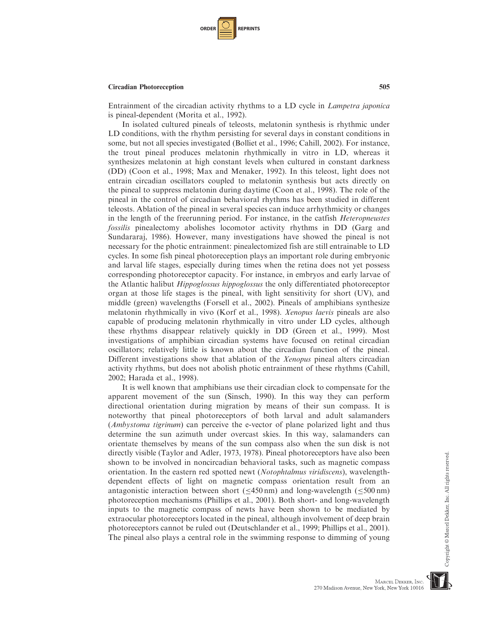

Entrainment of the circadian activity rhythms to a LD cycle in Lampetra japonica is pineal-dependent (Morita et al., 1992).

In isolated cultured pineals of teleosts, melatonin synthesis is rhythmic under LD conditions, with the rhythm persisting for several days in constant conditions in some, but not all species investigated (Bolliet et al., 1996; Cahill, 2002). For instance, the trout pineal produces melatonin rhythmically in vitro in LD, whereas it synthesizes melatonin at high constant levels when cultured in constant darkness (DD) (Coon et al., 1998; Max and Menaker, 1992). In this teleost, light does not entrain circadian oscillators coupled to melatonin synthesis but acts directly on the pineal to suppress melatonin during daytime (Coon et al., 1998). The role of the pineal in the control of circadian behavioral rhythms has been studied in different teleosts. Ablation of the pineal in several species can induce arrhythmicity or changes in the length of the freerunning period. For instance, in the catfish Heteropneustes fossilis pinealectomy abolishes locomotor activity rhythms in DD (Garg and Sundararaj, 1986). However, many investigations have showed the pineal is not necessary for the photic entrainment: pinealectomized fish are still entrainable to LD cycles. In some fish pineal photoreception plays an important role during embryonic and larval life stages, especially during times when the retina does not yet possess corresponding photoreceptor capacity. For instance, in embryos and early larvae of the Atlantic halibut Hippoglossus hippoglossus the only differentiated photoreceptor organ at those life stages is the pineal, with light sensitivity for short (UV), and middle (green) wavelengths (Forsell et al., 2002). Pineals of amphibians synthesize melatonin rhythmically in vivo (Korf et al., 1998). Xenopus laevis pineals are also capable of producing melatonin rhythmically in vitro under LD cycles, although these rhythms disappear relatively quickly in DD (Green et al., 1999). Most investigations of amphibian circadian systems have focused on retinal circadian oscillators; relatively little is known about the circadian function of the pineal. Different investigations show that ablation of the *Xenopus* pineal alters circadian activity rhythms, but does not abolish photic entrainment of these rhythms (Cahill, 2002; Harada et al., 1998).

It is well known that amphibians use their circadian clock to compensate for the apparent movement of the sun (Sinsch, 1990). In this way they can perform directional orientation during migration by means of their sun compass. It is noteworthy that pineal photoreceptors of both larval and adult salamanders (*Ambystoma tigrinum*) can perceive the e-vector of plane polarized light and thus determine the sun azimuth under overcast skies. In this way, salamanders can orientate themselves by means of the sun compass also when the sun disk is not directly visible (Taylor and Adler, 1973, 1978). Pineal photoreceptors have also been shown to be involved in noncircadian behavioral tasks, such as magnetic compass orientation. In the eastern red spotted newt (Notophtalmus viridiscens), wavelengthdependent effects of light on magnetic compass orientation result from an antagonistic interaction between short ( $\leq$ 450 nm) and long-wavelength ( $\leq$ 500 nm) photoreception mechanisms (Phillips et al., 2001). Both short- and long-wavelength inputs to the magnetic compass of newts have been shown to be mediated by extraocular photoreceptors located in the pineal, although involvement of deep brain photoreceptors cannot be ruled out (Deutschlander et al., 1999; Phillips et al., 2001). The pineal also plays a central role in the swimming response to dimming of young

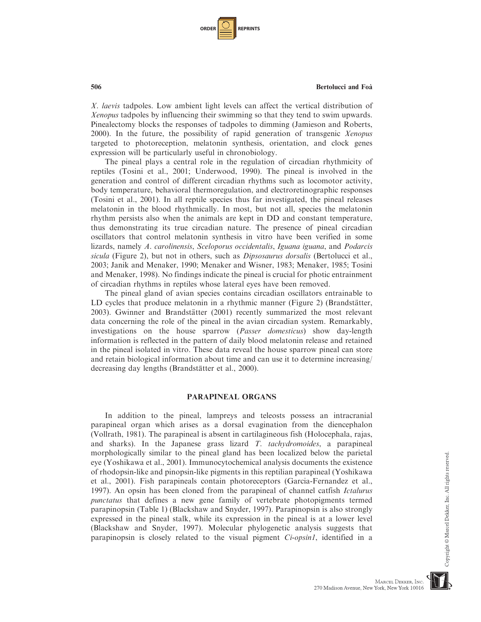| <b>ORDER I</b> |  | <b>REPRINTS</b> |
|----------------|--|-----------------|
|----------------|--|-----------------|

X. laevis tadpoles. Low ambient light levels can affect the vertical distribution of Xenopus tadpoles by influencing their swimming so that they tend to swim upwards. Pinealectomy blocks the responses of tadpoles to dimming (Jamieson and Roberts, 2000). In the future, the possibility of rapid generation of transgenic Xenopus targeted to photoreception, melatonin synthesis, orientation, and clock genes expression will be particularly useful in chronobiology.

The pineal plays a central role in the regulation of circadian rhythmicity of reptiles (Tosini et al., 2001; Underwood, 1990). The pineal is involved in the generation and control of different circadian rhythms such as locomotor activity, body temperature, behavioral thermoregulation, and electroretinographic responses (Tosini et al., 2001). In all reptile species thus far investigated, the pineal releases melatonin in the blood rhythmically. In most, but not all, species the melatonin rhythm persists also when the animals are kept in DD and constant temperature, thus demonstrating its true circadian nature. The presence of pineal circadian oscillators that control melatonin synthesis in vitro have been verified in some lizards, namely A. carolinensis, Sceloporus occidentalis, Iguana iguana, and Podarcis sicula (Figure 2), but not in others, such as *Dipsosaurus dorsalis* (Bertolucci et al., 2003; Janik and Menaker, 1990; Menaker and Wisner, 1983; Menaker, 1985; Tosini and Menaker, 1998). No findings indicate the pineal is crucial for photic entrainment of circadian rhythms in reptiles whose lateral eyes have been removed.

The pineal gland of avian species contains circadian oscillators entrainable to LD cycles that produce melatonin in a rhythmic manner (Figure 2) (Brandstätter, 2003). Gwinner and Brandstätter (2001) recently summarized the most relevant data concerning the role of the pineal in the avian circadian system. Remarkably, investigations on the house sparrow (Passer domesticus) show day-length information is reflected in the pattern of daily blood melatonin release and retained in the pineal isolated in vitro. These data reveal the house sparrow pineal can store and retain biological information about time and can use it to determine increasing/ decreasing day lengths (Brandstätter et al., 2000).

# PARAPINEAL ORGANS

In addition to the pineal, lampreys and teleosts possess an intracranial parapineal organ which arises as a dorsal evagination from the diencephalon (Vollrath, 1981). The parapineal is absent in cartilagineous fish (Holocephala, rajas, and sharks). In the Japanese grass lizard T. tachydromoides, a parapineal morphologically similar to the pineal gland has been localized below the parietal eye (Yoshikawa et al., 2001). Immunocytochemical analysis documents the existence of rhodopsin-like and pinopsin-like pigments in this reptilian parapineal (Yoshikawa et al., 2001). Fish parapineals contain photoreceptors (Garcia-Fernandez et al., 1997). An opsin has been cloned from the parapineal of channel catfish *Ictalurus* punctatus that defines a new gene family of vertebrate photopigments termed parapinopsin (Table 1) (Blackshaw and Snyder, 1997). Parapinopsin is also strongly expressed in the pineal stalk, while its expression in the pineal is at a lower level (Blackshaw and Snyder, 1997). Molecular phylogenetic analysis suggests that parapinopsin is closely related to the visual pigment Ci-opsin1, identified in a

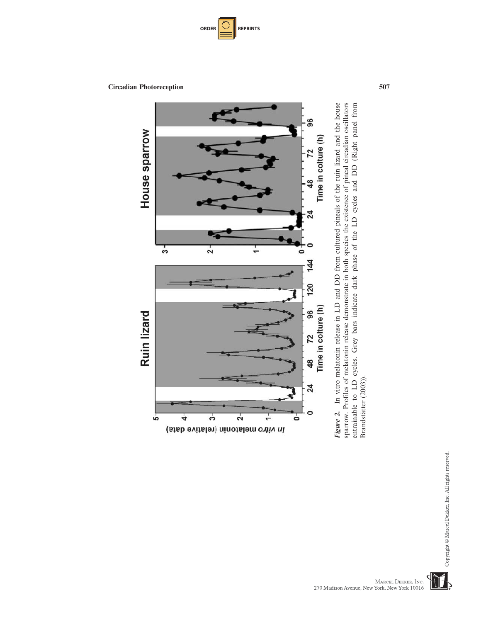



entrainable to LD cycles. Grey bars indicate dark phase of the LD cycles and DD (Right panel from<br>Brandstätter (2003)). Figure 2. In vitro melatonin release in LD and DD from cultured pineals of the ruin lizard and the house sparrow. Profiles of melatonin release demonstrate in both species the existence of pineal circadian oscillators Figure 2. In vitro melatonin release in LD and DD from cultured pineals of the ruin lizard and the house sparrow. Profiles of melatonin release demonstrate in both species the existence of pineal circadian oscillators entrainable to LD cycles. Grey bars indicate dark phase of the LD cycles and DD (Right panel from Brandstätter (2003)).

Copyright © Marcel Dekker, Inc. All rights reserved.

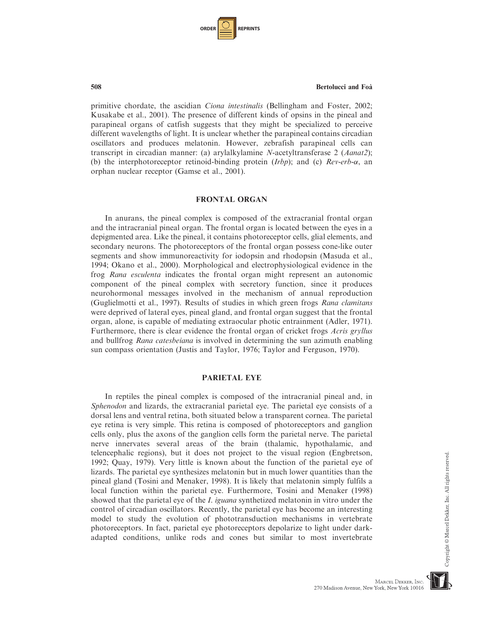| <b>ORDER I</b> |  | <b>REPRINTS</b> |
|----------------|--|-----------------|
|----------------|--|-----------------|

primitive chordate, the ascidian Ciona intestinalis (Bellingham and Foster, 2002; Kusakabe et al., 2001). The presence of different kinds of opsins in the pineal and parapineal organs of catfish suggests that they might be specialized to perceive different wavelengths of light. It is unclear whether the parapineal contains circadian oscillators and produces melatonin. However, zebrafish parapineal cells can transcript in circadian manner: (a) arylalkylamine N-acetyltransferase 2 (Aanat2); (b) the interphotoreceptor retinoid-binding protein (*Irbp*); and (c)  $Rev-erb-\alpha$ , an orphan nuclear receptor (Gamse et al., 2001).

# FRONTAL ORGAN

In anurans, the pineal complex is composed of the extracranial frontal organ and the intracranial pineal organ. The frontal organ is located between the eyes in a depigmented area. Like the pineal, it contains photoreceptor cells, glial elements, and secondary neurons. The photoreceptors of the frontal organ possess cone-like outer segments and show immunoreactivity for iodopsin and rhodopsin (Masuda et al., 1994; Okano et al., 2000). Morphological and electrophysiological evidence in the frog Rana esculenta indicates the frontal organ might represent an autonomic component of the pineal complex with secretory function, since it produces neurohormonal messages involved in the mechanism of annual reproduction (Guglielmotti et al., 1997). Results of studies in which green frogs Rana clamitans were deprived of lateral eyes, pineal gland, and frontal organ suggest that the frontal organ, alone, is capable of mediating extraocular photic entrainment (Adler, 1971). Furthermore, there is clear evidence the frontal organ of cricket frogs Acris gryllus and bullfrog Rana catesbeiana is involved in determining the sun azimuth enabling sun compass orientation (Justis and Taylor, 1976; Taylor and Ferguson, 1970).

# PARIETAL EYE

In reptiles the pineal complex is composed of the intracranial pineal and, in Sphenodon and lizards, the extracranial parietal eye. The parietal eye consists of a dorsal lens and ventral retina, both situated below a transparent cornea. The parietal eye retina is very simple. This retina is composed of photoreceptors and ganglion cells only, plus the axons of the ganglion cells form the parietal nerve. The parietal nerve innervates several areas of the brain (thalamic, hypothalamic, and telencephalic regions), but it does not project to the visual region (Engbretson, 1992; Quay, 1979). Very little is known about the function of the parietal eye of lizards. The parietal eye synthesizes melatonin but in much lower quantities than the pineal gland (Tosini and Menaker, 1998). It is likely that melatonin simply fulfils a local function within the parietal eye. Furthermore, Tosini and Menaker (1998) showed that the parietal eye of the *I. iguana* synthetized melatonin in vitro under the control of circadian oscillators. Recently, the parietal eye has become an interesting model to study the evolution of phototransduction mechanisms in vertebrate photoreceptors. In fact, parietal eye photoreceptors depolarize to light under darkadapted conditions, unlike rods and cones but similar to most invertebrate

Copyright © Marcel Dekker, Inc. All rights reserved

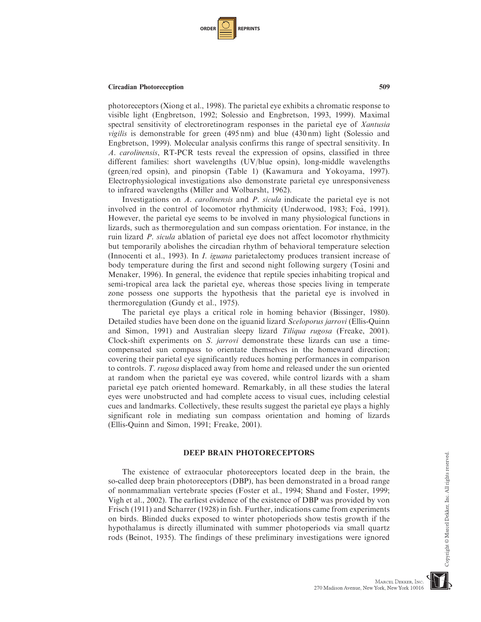

photoreceptors (Xiong et al., 1998). The parietal eye exhibits a chromatic response to visible light (Engbretson, 1992; Solessio and Engbretson, 1993, 1999). Maximal spectral sensitivity of electroretinogram responses in the parietal eye of Xantusia vigilis is demonstrable for green (495 nm) and blue (430 nm) light (Solessio and Engbretson, 1999). Molecular analysis confirms this range of spectral sensitivity. In A. carolinensis, RT-PCR tests reveal the expression of opsins, classified in three different families: short wavelengths (UV/blue opsin), long-middle wavelengths (green/red opsin), and pinopsin (Table 1) (Kawamura and Yokoyama, 1997). Electrophysiological investigations also demonstrate parietal eye unresponsiveness to infrared wavelengths (Miller and Wolbarsht, 1962).

Investigations on A. carolinensis and P. sicula indicate the parietal eye is not involved in the control of locomotor rhythmicity (Underwood, 1983; Foà, 1991). However, the parietal eye seems to be involved in many physiological functions in lizards, such as thermoregulation and sun compass orientation. For instance, in the ruin lizard P. sicula ablation of parietal eye does not affect locomotor rhythmicity but temporarily abolishes the circadian rhythm of behavioral temperature selection (Innocenti et al., 1993). In I. iguana parietalectomy produces transient increase of body temperature during the first and second night following surgery (Tosini and Menaker, 1996). In general, the evidence that reptile species inhabiting tropical and semi-tropical area lack the parietal eye, whereas those species living in temperate zone possess one supports the hypothesis that the parietal eye is involved in thermoregulation (Gundy et al., 1975).

The parietal eye plays a critical role in homing behavior (Bissinger, 1980). Detailed studies have been done on the iguanid lizard Sceloporus jarrovi (Ellis-Quinn and Simon, 1991) and Australian sleepy lizard Tiliqua rugosa (Freake, 2001). Clock-shift experiments on S. jarrovi demonstrate these lizards can use a timecompensated sun compass to orientate themselves in the homeward direction; covering their parietal eye significantly reduces homing performances in comparison to controls. T. rugosa displaced away from home and released under the sun oriented at random when the parietal eye was covered, while control lizards with a sham parietal eye patch oriented homeward. Remarkably, in all these studies the lateral eyes were unobstructed and had complete access to visual cues, including celestial cues and landmarks. Collectively, these results suggest the parietal eye plays a highly significant role in mediating sun compass orientation and homing of lizards (Ellis-Quinn and Simon, 1991; Freake, 2001).

#### DEEP BRAIN PHOTORECEPTORS

The existence of extraocular photoreceptors located deep in the brain, the so-called deep brain photoreceptors (DBP), has been demonstrated in a broad range of nonmammalian vertebrate species (Foster et al., 1994; Shand and Foster, 1999; Vigh et al., 2002). The earliest evidence of the existence of DBP was provided by von Frisch (1911) and Scharrer (1928) in fish. Further, indications came from experiments on birds. Blinded ducks exposed to winter photoperiods show testis growth if the hypothalamus is directly illuminated with summer photoperiods via small quartz rods (Beinot, 1935). The findings of these preliminary investigations were ignored

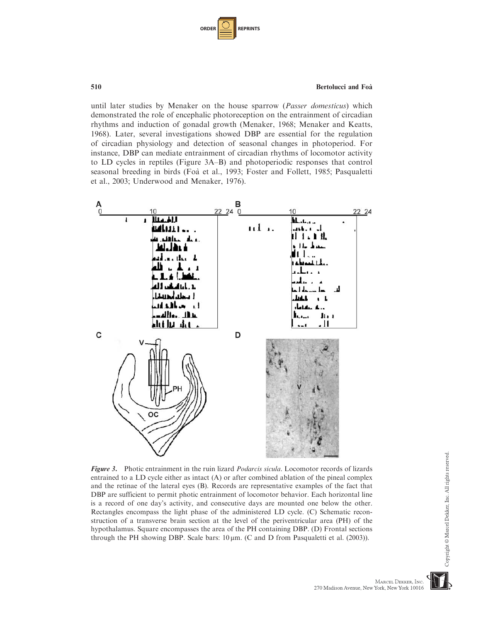| <b>ORDER</b> |  | <b>REPRINTS</b> |
|--------------|--|-----------------|
|--------------|--|-----------------|

until later studies by Menaker on the house sparrow (*Passer domesticus*) which demonstrated the role of encephalic photoreception on the entrainment of circadian rhythms and induction of gonadal growth (Menaker, 1968; Menaker and Keatts, 1968). Later, several investigations showed DBP are essential for the regulation of circadian physiology and detection of seasonal changes in photoperiod. For instance, DBP can mediate entrainment of circadian rhythms of locomotor activity to LD cycles in reptiles (Figure 3A–B) and photoperiodic responses that control seasonal breeding in birds (Foa` et al., 1993; Foster and Follett, 1985; Pasqualetti et al., 2003; Underwood and Menaker, 1976).



Figure 3. Photic entrainment in the ruin lizard *Podarcis sicula*. Locomotor records of lizards entrained to a LD cycle either as intact (A) or after combined ablation of the pineal complex and the retinae of the lateral eyes (B). Records are representative examples of the fact that DBP are sufficient to permit photic entrainment of locomotor behavior. Each horizontal line is a record of one day's activity, and consecutive days are mounted one below the other. Rectangles encompass the light phase of the administered LD cycle. (C) Schematic reconstruction of a transverse brain section at the level of the periventricular area (PH) of the hypothalamus. Square encompasses the area of the PH containing DBP. (D) Frontal sections through the PH showing DBP. Scale bars:  $10 \mu m$ . (C and D from Pasqualetti et al. (2003)).

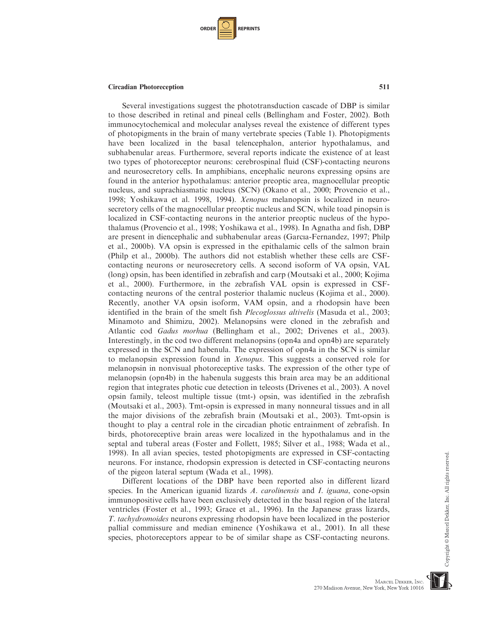

Several investigations suggest the phototransduction cascade of DBP is similar to those described in retinal and pineal cells (Bellingham and Foster, 2002). Both immunocytochemical and molecular analyses reveal the existence of different types of photopigments in the brain of many vertebrate species (Table 1). Photopigments have been localized in the basal telencephalon, anterior hypothalamus, and subhabenular areas. Furthermore, several reports indicate the existence of at least two types of photoreceptor neurons: cerebrospinal fluid (CSF)-contacting neurons and neurosecretory cells. In amphibians, encephalic neurons expressing opsins are found in the anterior hypothalamus: anterior preoptic area, magnocellular preoptic nucleus, and suprachiasmatic nucleus (SCN) (Okano et al., 2000; Provencio et al., 1998; Yoshikawa et al. 1998, 1994). Xenopus melanopsin is localized in neurosecretory cells of the magnocellular preoptic nucleus and SCN, while toad pinopsin is localized in CSF-contacting neurons in the anterior preoptic nucleus of the hypothalamus (Provencio et al., 1998; Yoshikawa et al., 1998). In Agnatha and fish, DBP are present in diencephalic and subhabenular areas (Garcia-Fernandez, 1997; Philp et al., 2000b). VA opsin is expressed in the epithalamic cells of the salmon brain (Philp et al., 2000b). The authors did not establish whether these cells are CSFcontacting neurons or neurosecretory cells. A second isoform of VA opsin, VAL (long) opsin, has been identified in zebrafish and carp (Moutsaki et al., 2000; Kojima et al., 2000). Furthermore, in the zebrafish VAL opsin is expressed in CSFcontacting neurons of the central posterior thalamic nucleus (Kojima et al., 2000). Recently, another VA opsin isoform, VAM opsin, and a rhodopsin have been identified in the brain of the smelt fish Plecoglossus altivelis (Masuda et al., 2003; Minamoto and Shimizu, 2002). Melanopsins were cloned in the zebrafish and Atlantic cod Gadus morhua (Bellingham et al., 2002; Drivenes et al., 2003). Interestingly, in the cod two different melanopsins (opn4a and opn4b) are separately expressed in the SCN and habenula. The expression of opn4a in the SCN is similar to melanopsin expression found in Xenopus. This suggests a conserved role for melanopsin in nonvisual photoreceptive tasks. The expression of the other type of melanopsin (opn4b) in the habenula suggests this brain area may be an additional region that integrates photic cue detection in teleosts (Drivenes et al., 2003). A novel opsin family, teleost multiple tissue (tmt-) opsin, was identified in the zebrafish (Moutsaki et al., 2003). Tmt-opsin is expressed in many nonneural tissues and in all the major divisions of the zebrafish brain (Moutsaki et al., 2003). Tmt-opsin is thought to play a central role in the circadian photic entrainment of zebrafish. In birds, photoreceptive brain areas were localized in the hypothalamus and in the septal and tuberal areas (Foster and Follett, 1985; Silver et al., 1988; Wada et al., 1998). In all avian species, tested photopigments are expressed in CSF-contacting neurons. For instance, rhodopsin expression is detected in CSF-contacting neurons of the pigeon lateral septum (Wada et al., 1998).

Different locations of the DBP have been reported also in different lizard species. In the American iguanid lizards A. *carolinensis* and I. *iguana*, cone-opsin immunopositive cells have been exclusively detected in the basal region of the lateral ventricles (Foster et al., 1993; Grace et al., 1996). In the Japanese grass lizards, T. tachydromoides neurons expressing rhodopsin have been localized in the posterior pallial commissure and median eminence (Yoshikawa et al., 2001). In all these species, photoreceptors appear to be of similar shape as CSF-contacting neurons.

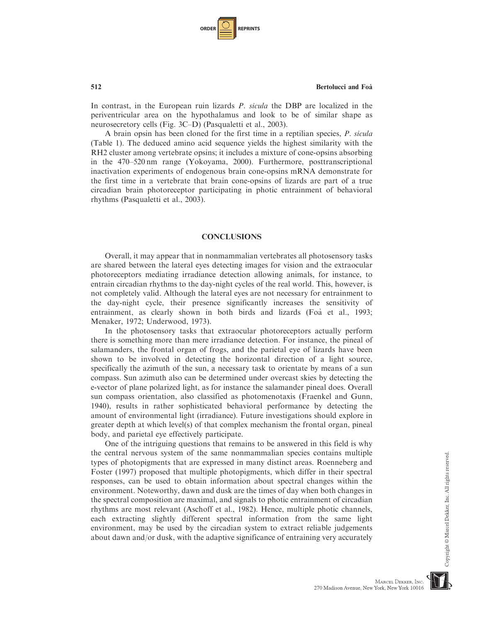| <b>ORDER</b> |  | <b>REPRINTS</b> |
|--------------|--|-----------------|
|--------------|--|-----------------|

In contrast, in the European ruin lizards P. sicula the DBP are localized in the periventricular area on the hypothalamus and look to be of similar shape as neurosecretory cells (Fig. 3C–D) (Pasqualetti et al., 2003).

A brain opsin has been cloned for the first time in a reptilian species, P. sicula (Table 1). The deduced amino acid sequence yields the highest similarity with the RH2 cluster among vertebrate opsins; it includes a mixture of cone-opsins absorbing in the 470–520 nm range (Yokoyama, 2000). Furthermore, posttranscriptional inactivation experiments of endogenous brain cone-opsins mRNA demonstrate for the first time in a vertebrate that brain cone-opsins of lizards are part of a true circadian brain photoreceptor participating in photic entrainment of behavioral rhythms (Pasqualetti et al., 2003).

# **CONCLUSIONS**

Overall, it may appear that in nonmammalian vertebrates all photosensory tasks are shared between the lateral eyes detecting images for vision and the extraocular photoreceptors mediating irradiance detection allowing animals, for instance, to entrain circadian rhythms to the day-night cycles of the real world. This, however, is not completely valid. Although the lateral eyes are not necessary for entrainment to the day-night cycle, their presence significantly increases the sensitivity of entrainment, as clearly shown in both birds and lizards (Foa` et al., 1993; Menaker, 1972; Underwood, 1973).

In the photosensory tasks that extraocular photoreceptors actually perform there is something more than mere irradiance detection. For instance, the pineal of salamanders, the frontal organ of frogs, and the parietal eye of lizards have been shown to be involved in detecting the horizontal direction of a light source, specifically the azimuth of the sun, a necessary task to orientate by means of a sun compass. Sun azimuth also can be determined under overcast skies by detecting the e-vector of plane polarized light, as for instance the salamander pineal does. Overall sun compass orientation, also classified as photomenotaxis (Fraenkel and Gunn, 1940), results in rather sophisticated behavioral performance by detecting the amount of environmental light (irradiance). Future investigations should explore in greater depth at which level(s) of that complex mechanism the frontal organ, pineal body, and parietal eye effectively participate.

One of the intriguing questions that remains to be answered in this field is why the central nervous system of the same nonmammalian species contains multiple types of photopigments that are expressed in many distinct areas. Roenneberg and Foster (1997) proposed that multiple photopigments, which differ in their spectral responses, can be used to obtain information about spectral changes within the environment. Noteworthy, dawn and dusk are the times of day when both changes in the spectral composition are maximal, and signals to photic entrainment of circadian rhythms are most relevant (Aschoff et al., 1982). Hence, multiple photic channels, each extracting slightly different spectral information from the same light environment, may be used by the circadian system to extract reliable judgements about dawn and/or dusk, with the adaptive significance of entraining very accurately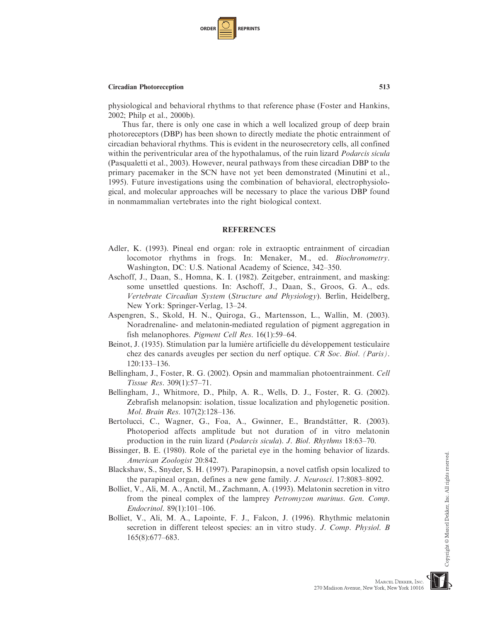

physiological and behavioral rhythms to that reference phase (Foster and Hankins, 2002; Philp et al., 2000b).

Thus far, there is only one case in which a well localized group of deep brain photoreceptors (DBP) has been shown to directly mediate the photic entrainment of circadian behavioral rhythms. This is evident in the neurosecretory cells, all confined within the periventricular area of the hypothalamus, of the ruin lizard *Podarcis sicula* (Pasqualetti et al., 2003). However, neural pathways from these circadian DBP to the primary pacemaker in the SCN have not yet been demonstrated (Minutini et al., 1995). Future investigations using the combination of behavioral, electrophysiological, and molecular approaches will be necessary to place the various DBP found in nonmammalian vertebrates into the right biological context.

# **REFERENCES**

- Adler, K. (1993). Pineal end organ: role in extraoptic entrainment of circadian locomotor rhythms in frogs. In: Menaker, M., ed. Biochronometry. Washington, DC: U.S. National Academy of Science, 342–350.
- Aschoff, J., Daan, S., Homna, K. I. (1982). Zeitgeber, entrainment, and masking: some unsettled questions. In: Aschoff, J., Daan, S., Groos, G. A., eds. Vertebrate Circadian System (Structure and Physiology). Berlin, Heidelberg, New York: Springer-Verlag, 13–24.
- Aspengren, S., Skold, H. N., Quiroga, G., Martensson, L., Wallin, M. (2003). Noradrenaline- and melatonin-mediated regulation of pigment aggregation in fish melanophores. *Pigment Cell Res.* 16(1):59–64.
- Beinot, J. (1935). Stimulation par la lumière artificielle du développement testiculaire chez des canards aveugles per section du nerf optique. CR Soc. Biol. (Paris). 120:133–136.
- Bellingham, J., Foster, R. G. (2002). Opsin and mammalian photoentrainment. Cell Tissue Res. 309(1):57–71.
- Bellingham, J., Whitmore, D., Philp, A. R., Wells, D. J., Foster, R. G. (2002). Zebrafish melanopsin: isolation, tissue localization and phylogenetic position. Mol. Brain Res. 107(2):128–136.
- Bertolucci, C., Wagner, G., Foa, A., Gwinner, E., Brandstätter, R. (2003). Photoperiod affects amplitude but not duration of in vitro melatonin production in the ruin lizard (Podarcis sicula). J. Biol. Rhythms 18:63–70.
- Bissinger, B. E. (1980). Role of the parietal eye in the homing behavior of lizards. American Zoologist 20:842.
- Blackshaw, S., Snyder, S. H. (1997). Parapinopsin, a novel catfish opsin localized to the parapineal organ, defines a new gene family. J. Neurosci. 17:8083–8092.
- Bolliet, V., Ali, M. A., Anctil, M., Zachmann, A. (1993). Melatonin secretion in vitro from the pineal complex of the lamprey Petromyzon marinus. Gen. Comp. Endocrinol. 89(1):101–106.
- Bolliet, V., Ali, M. A., Lapointe, F. J., Falcon, J. (1996). Rhythmic melatonin secretion in different teleost species: an in vitro study. J. Comp. Physiol. B 165(8):677–683.

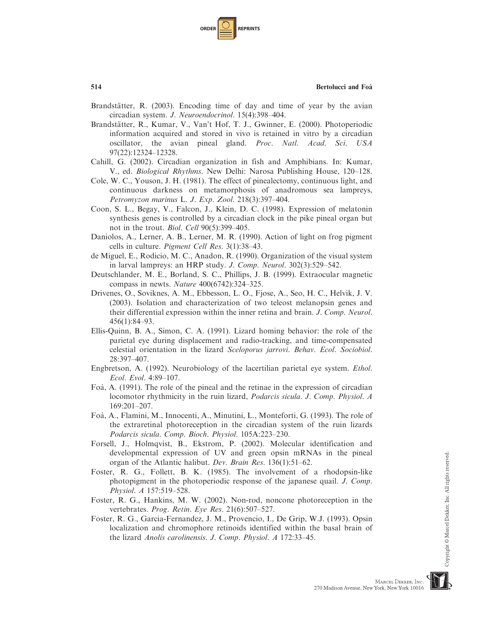| <b>ORDER</b> |  | <b>REPRINTS</b> |
|--------------|--|-----------------|
|--------------|--|-----------------|

- Brandstätter, R. (2003). Encoding time of day and time of year by the avian circadian system. J. Neuroendocrinol. 15(4):398–404.
- Brandstätter, R., Kumar, V., Van't Hof, T. J., Gwinner, E. (2000). Photoperiodic information acquired and stored in vivo is retained in vitro by a circadian oscillator, the avian pineal gland. Proc. Natl. Acad. Sci. USA 97(22):12324–12328.
- Cahill, G. (2002). Circadian organization in fish and Amphibians. In: Kumar, V., ed. Biological Rhythms. New Delhi: Narosa Publishing House, 120–128.
- Cole, W. C., Youson, J. H. (1981). The effect of pinealectomy, continuous light, and continuous darkness on metamorphosis of anadromous sea lampreys, Petromyzon marinus L. J. Exp. Zool. 218(3):397–404.
- Coon, S. L., Begay, V., Falcon, J., Klein, D. C. (1998). Expression of melatonin synthesis genes is controlled by a circadian clock in the pike pineal organ but not in the trout. Biol. Cell 90(5):399–405.
- Daniolos, A., Lerner, A. B., Lerner, M. R. (1990). Action of light on frog pigment cells in culture. Pigment Cell Res. 3(1):38–43.
- de Miguel, E., Rodicio, M. C., Anadon, R. (1990). Organization of the visual system in larval lampreys: an HRP study. J. Comp. Neurol. 302(3):529–542.
- Deutschlander, M. E., Borland, S. C., Phillips, J. B. (1999). Extraocular magnetic compass in newts. Nature 400(6742):324–325.
- Drivenes, O., Soviknes, A. M., Ebbesson, L. O., Fjose, A., Seo, H. C., Helvik, J. V. (2003). Isolation and characterization of two teleost melanopsin genes and their differential expression within the inner retina and brain. J. Comp. Neurol. 456(1):84–93.
- Ellis-Quinn, B. A., Simon, C. A. (1991). Lizard homing behavior: the role of the parietal eye during displacement and radio-tracking, and time-compensated celestial orientation in the lizard Sceloporus jarrovi. Behav. Ecol. Sociobiol. 28:397–407.
- Engbretson, A. (1992). Neurobiology of the lacertilian parietal eye system. Ethol. Ecol. Evol. 4:89–107.
- Foa`, A. (1991). The role of the pineal and the retinae in the expression of circadian locomotor rhythmicity in the ruin lizard, Podarcis sicula. J. Comp. Physiol. A 169:201–207.
- Foa`, A., Flamini, M., Innocenti, A., Minutini, L., Monteforti, G. (1993). The role of the extraretinal photoreception in the circadian system of the ruin lizards Podarcis sicula. Comp. Bioch. Physiol. 105A:223–230.
- Forsell, J., Holmqvist, B., Ekstrom, P. (2002). Molecular identification and developmental expression of UV and green opsin mRNAs in the pineal organ of the Atlantic halibut. Dev. Brain Res. 136(1):51–62.
- Foster, R. G., Follett, B. K. (1985). The involvement of a rhodopsin-like photopigment in the photoperiodic response of the japanese quail. J. Comp. Physiol. A 157:519–528.
- Foster, R. G., Hankins, M. W. (2002). Non-rod, noncone photoreception in the vertebrates. Prog. Retin. Eye Res. 21(6):507–527.
- Foster, R. G., Garcia-Fernandez, J. M., Provencio, I., De Grip, W.J. (1993). Opsin localization and chromophore retinoids identified within the basal brain of the lizard Anolis carolinensis. J. Comp. Physiol. A 172:33–45.

Copyright © Marcel Dekker, Inc. All rights reserved

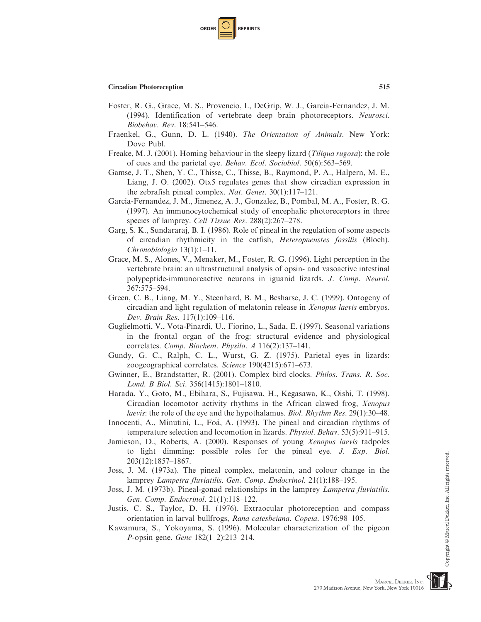

- Foster, R. G., Grace, M. S., Provencio, I., DeGrip, W. J., Garcia-Fernandez, J. M. (1994). Identification of vertebrate deep brain photoreceptors. Neurosci. Biobehav. Rev. 18:541–546.
- Fraenkel, G., Gunn, D. L. (1940). The Orientation of Animals. New York: Dove Publ.
- Freake, M. J. (2001). Homing behaviour in the sleepy lizard (Tiliqua rugosa): the role of cues and the parietal eye. Behav. Ecol. Sociobiol. 50(6):563–569.
- Gamse, J. T., Shen, Y. C., Thisse, C., Thisse, B., Raymond, P. A., Halpern, M. E., Liang, J. O. (2002). Otx5 regulates genes that show circadian expression in the zebrafish pineal complex. Nat. Genet. 30(1):117–121.
- Garcia-Fernandez, J. M., Jimenez, A. J., Gonzalez, B., Pombal, M. A., Foster, R. G. (1997). An immunocytochemical study of encephalic photoreceptors in three species of lamprey. Cell Tissue Res. 288(2):267–278.
- Garg, S. K., Sundararaj, B. I. (1986). Role of pineal in the regulation of some aspects of circadian rhythmicity in the catfish, Heteropneustes fossilis (Bloch). Chronobiologia 13(1):1–11.
- Grace, M. S., Alones, V., Menaker, M., Foster, R. G. (1996). Light perception in the vertebrate brain: an ultrastructural analysis of opsin- and vasoactive intestinal polypeptide-immunoreactive neurons in iguanid lizards. J. Comp. Neurol. 367:575–594.
- Green, C. B., Liang, M. Y., Steenhard, B. M., Besharse, J. C. (1999). Ontogeny of circadian and light regulation of melatonin release in Xenopus laevis embryos. Dev. Brain Res. 117(1):109–116.
- Guglielmotti, V., Vota-Pinardi, U., Fiorino, L., Sada, E. (1997). Seasonal variations in the frontal organ of the frog: structural evidence and physiological correlates. Comp. Biochem. Physilo. A 116(2):137–141.
- Gundy, G. C., Ralph, C. L., Wurst, G. Z. (1975). Parietal eyes in lizards: zoogeographical correlates. Science 190(4215):671–673.
- Gwinner, E., Brandstatter, R. (2001). Complex bird clocks. Philos. Trans. R. Soc. Lond. B Biol. Sci. 356(1415):1801–1810.
- Harada, Y., Goto, M., Ebihara, S., Fujisawa, H., Kegasawa, K., Oishi, T. (1998). Circadian locomotor activity rhythms in the African clawed frog, Xenopus laevis: the role of the eye and the hypothalamus. Biol. Rhythm Res. 29(1):30–48.
- Innocenti, A., Minutini, L., Foa`, A. (1993). The pineal and circadian rhythms of temperature selection and locomotion in lizards. Physiol. Behav. 53(5):911–915.
- Jamieson, D., Roberts, A. (2000). Responses of young Xenopus laevis tadpoles to light dimming: possible roles for the pineal eye. J. Exp. Biol. 203(12):1857–1867.
- Joss, J. M. (1973a). The pineal complex, melatonin, and colour change in the lamprey Lampetra fluviatilis. Gen. Comp. Endocrinol. 21(1):188–195.
- Joss, J. M. (1973b). Pineal-gonad relationships in the lamprey Lampetra fluviatilis. Gen. Comp. Endocrinol. 21(1):118–122.
- Justis, C. S., Taylor, D. H. (1976). Extraocular photoreception and compass orientation in larval bullfrogs, Rana catesbeiana. Copeia. 1976:98–105.
- Kawamura, S., Yokoyama, S. (1996). Molecular characterization of the pigeon P-opsin gene. Gene 182(1–2):213–214.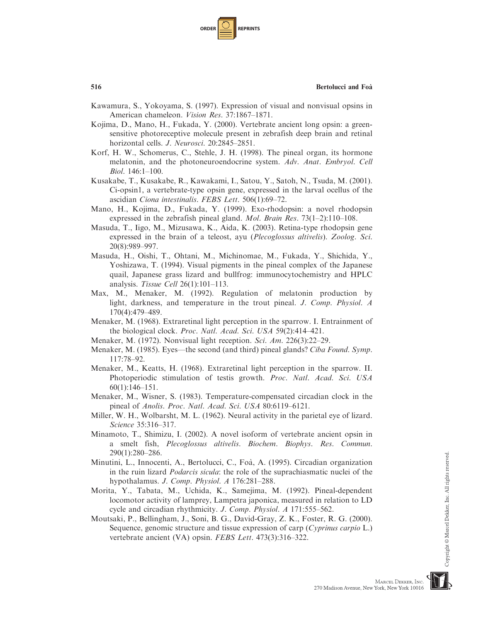| <b>ORDER</b> |  | <b>REPRINTS</b> |
|--------------|--|-----------------|
|--------------|--|-----------------|

- Kawamura, S., Yokoyama, S. (1997). Expression of visual and nonvisual opsins in American chameleon. Vision Res. 37:1867–1871.
- Kojima, D., Mano, H., Fukada, Y. (2000). Vertebrate ancient long opsin: a greensensitive photoreceptive molecule present in zebrafish deep brain and retinal horizontal cells. J. Neurosci. 20:2845-2851.
- Korf, H. W., Schomerus, C., Stehle, J. H. (1998). The pineal organ, its hormone melatonin, and the photoneuroendocrine system. Adv. Anat. Embryol. Cell Biol. 146:1–100.
- Kusakabe, T., Kusakabe, R., Kawakami, I., Satou, Y., Satoh, N., Tsuda, M. (2001). Ci-opsin1, a vertebrate-type opsin gene, expressed in the larval ocellus of the ascidian Ciona intestinalis. FEBS Lett. 506(1):69–72.
- Mano, H., Kojima, D., Fukada, Y. (1999). Exo-rhodopsin: a novel rhodopsin expressed in the zebrafish pineal gland. Mol. Brain Res. 73(1–2):110–108.
- Masuda, T., Iigo, M., Mizusawa, K., Aida, K. (2003). Retina-type rhodopsin gene expressed in the brain of a teleost, ayu (Plecoglossus altivelis). Zoolog. Sci. 20(8):989–997.
- Masuda, H., Oishi, T., Ohtani, M., Michinomae, M., Fukada, Y., Shichida, Y., Yoshizawa, T. (1994). Visual pigments in the pineal complex of the Japanese quail, Japanese grass lizard and bullfrog: immunocytochemistry and HPLC analysis. Tissue Cell 26(1):101–113.
- Max, M., Menaker, M. (1992). Regulation of melatonin production by light, darkness, and temperature in the trout pineal. J. Comp. Physiol. A 170(4):479–489.
- Menaker, M. (1968). Extraretinal light perception in the sparrow. I. Entrainment of the biological clock. Proc. Natl. Acad. Sci. USA 59(2):414–421.
- Menaker, M. (1972). Nonvisual light reception. Sci. Am. 226(3):22–29.
- Menaker, M. (1985). Eyes—the second (and third) pineal glands? Ciba Found. Symp. 117:78–92.
- Menaker, M., Keatts, H. (1968). Extraretinal light perception in the sparrow. II. Photoperiodic stimulation of testis growth. Proc. Natl. Acad. Sci. USA 60(1):146–151.
- Menaker, M., Wisner, S. (1983). Temperature-compensated circadian clock in the pineal of Anolis. Proc. Natl. Acad. Sci. USA 80:6119–6121.
- Miller, W. H., Wolbarsht, M. L. (1962). Neural activity in the parietal eye of lizard. Science 35:316–317.
- Minamoto, T., Shimizu, I. (2002). A novel isoform of vertebrate ancient opsin in a smelt fish, Plecoglossus altivelis. Biochem. Biophys. Res. Commun. 290(1):280–286.
- Minutini, L., Innocenti, A., Bertolucci, C., Foa`, A. (1995). Circadian organization in the ruin lizard Podarcis sicula: the role of the suprachiasmatic nuclei of the hypothalamus. J. Comp. Physiol. A 176:281–288.
- Morita, Y., Tabata, M., Uchida, K., Samejima, M. (1992). Pineal-dependent locomotor activity of lamprey, Lampetra japonica, measured in relation to LD cycle and circadian rhythmicity. J. Comp. Physiol. A 171:555–562.
- Moutsaki, P., Bellingham, J., Soni, B. G., David-Gray, Z. K., Foster, R. G. (2000). Sequence, genomic structure and tissue expression of carp (Cyprinus carpio L.) vertebrate ancient (VA) opsin. FEBS Lett. 473(3):316–322.



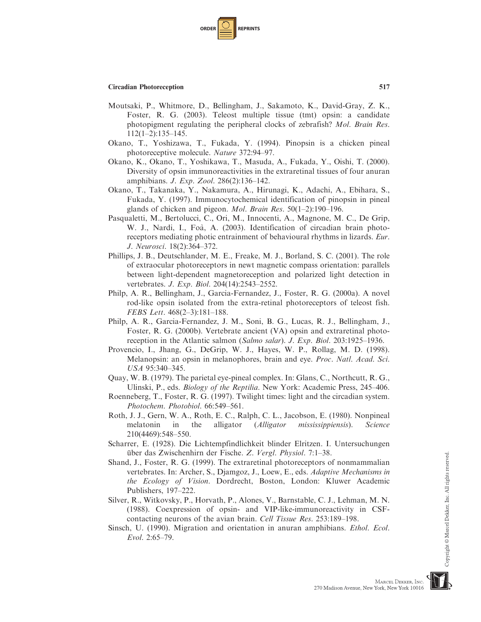

- Moutsaki, P., Whitmore, D., Bellingham, J., Sakamoto, K., David-Gray, Z. K., Foster, R. G. (2003). Teleost multiple tissue (tmt) opsin: a candidate photopigment regulating the peripheral clocks of zebrafish? Mol. Brain Res.  $112(1-2):135-145.$
- Okano, T., Yoshizawa, T., Fukada, Y. (1994). Pinopsin is a chicken pineal photoreceptive molecule. Nature 372:94–97.
- Okano, K., Okano, T., Yoshikawa, T., Masuda, A., Fukada, Y., Oishi, T. (2000). Diversity of opsin immunoreactivities in the extraretinal tissues of four anuran amphibians. J. Exp. Zool. 286(2):136–142.
- Okano, T., Takanaka, Y., Nakamura, A., Hirunagi, K., Adachi, A., Ebihara, S., Fukada, Y. (1997). Immunocytochemical identification of pinopsin in pineal glands of chicken and pigeon. *Mol. Brain Res.*  $50(1-2)$ :190-196.
- Pasqualetti, M., Bertolucci, C., Ori, M., Innocenti, A., Magnone, M. C., De Grip, W. J., Nardi, I., Foà, A. (2003). Identification of circadian brain photoreceptors mediating photic entrainment of behavioural rhythms in lizards. Eur. J. Neurosci. 18(2):364–372.
- Phillips, J. B., Deutschlander, M. E., Freake, M. J., Borland, S. C. (2001). The role of extraocular photoreceptors in newt magnetic compass orientation: parallels between light-dependent magnetoreception and polarized light detection in vertebrates. J. Exp. Biol. 204(14):2543–2552.
- Philp, A. R., Bellingham, J., Garcia-Fernandez, J., Foster, R. G. (2000a). A novel rod-like opsin isolated from the extra-retinal photoreceptors of teleost fish. FEBS Lett. 468(2–3):181–188.
- Philp, A. R., Garcia-Fernandez, J. M., Soni, B. G., Lucas, R. J., Bellingham, J., Foster, R. G. (2000b). Vertebrate ancient (VA) opsin and extraretinal photoreception in the Atlantic salmon (Salmo salar). J. Exp. Biol. 203:1925–1936.
- Provencio, I., Jhang, G., DeGrip, W. J., Hayes, W. P., Rollag, M. D. (1998). Melanopsin: an opsin in melanophores, brain and eye. Proc. Natl. Acad. Sci. USA 95:340–345.
- Quay, W. B. (1979). The parietal eye-pineal complex. In: Glans, C., Northcutt, R. G., Ulinski, P., eds. Biology of the Reptilia. New York: Academic Press, 245–406.
- Roenneberg, T., Foster, R. G. (1997). Twilight times: light and the circadian system. Photochem. Photobiol. 66:549–561.
- Roth, J. J., Gern, W. A., Roth, E. C., Ralph, C. L., Jacobson, E. (1980). Nonpineal melatonin in the alligator (*Alligator mississippiensis*). Science 210(4469):548–550.
- Scharrer, E. (1928). Die Lichtempfindlichkeit blinder Elritzen. I. Untersuchungen über das Zwischenhirn der Fische. Z. Vergl. Physiol. 7:1-38.
- Shand, J., Foster, R. G. (1999). The extraretinal photoreceptors of nonmammalian vertebrates. In: Archer, S., Djamgoz, J., Loew, E., eds. Adaptive Mechanisms in the Ecology of Vision. Dordrecht, Boston, London: Kluwer Academic Publishers, 197–222.
- Silver, R., Witkovsky, P., Horvath, P., Alones, V., Barnstable, C. J., Lehman, M. N. (1988). Coexpression of opsin- and VIP-like-immunoreactivity in CSFcontacting neurons of the avian brain. Cell Tissue Res. 253:189–198.
- Sinsch, U. (1990). Migration and orientation in anuran amphibians. Ethol. Ecol. Evol. 2:65–79.

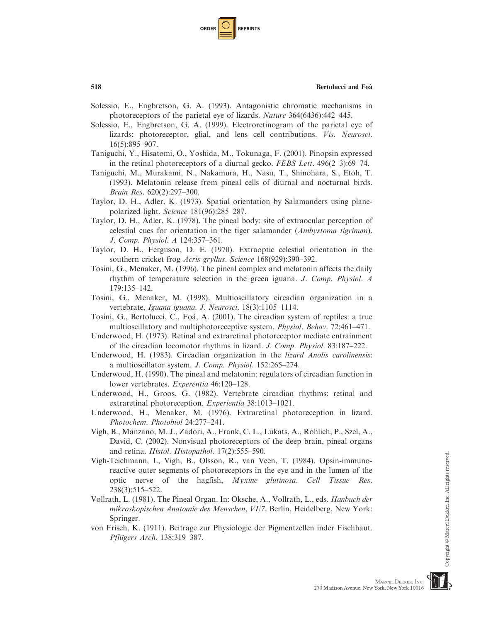| <b>ORDER</b> |  | <b>REPRINTS</b> |
|--------------|--|-----------------|
|--------------|--|-----------------|

- Solessio, E., Engbretson, G. A. (1993). Antagonistic chromatic mechanisms in photoreceptors of the parietal eye of lizards. Nature 364(6436):442–445.
- Solessio, E., Engbretson, G. A. (1999). Electroretinogram of the parietal eye of lizards: photoreceptor, glial, and lens cell contributions. Vis. Neurosci. 16(5):895–907.
- Taniguchi, Y., Hisatomi, O., Yoshida, M., Tokunaga, F. (2001). Pinopsin expressed in the retinal photoreceptors of a diurnal gecko. FEBS Lett. 496(2–3):69–74.
- Taniguchi, M., Murakami, N., Nakamura, H., Nasu, T., Shinohara, S., Etoh, T. (1993). Melatonin release from pineal cells of diurnal and nocturnal birds. Brain Res. 620(2):297–300.
- Taylor, D. H., Adler, K. (1973). Spatial orientation by Salamanders using planepolarized light. Science 181(96):285–287.
- Taylor, D. H., Adler, K. (1978). The pineal body: site of extraocular perception of celestial cues for orientation in the tiger salamander (Ambystoma tigrinum). J. Comp. Physiol. A 124:357–361.
- Taylor, D. H., Ferguson, D. E. (1970). Extraoptic celestial orientation in the southern cricket frog Acris gryllus. Science 168(929):390–392.
- Tosini, G., Menaker, M. (1996). The pineal complex and melatonin affects the daily rhythm of temperature selection in the green iguana. J. Comp. Physiol. A 179:135–142.
- Tosini, G., Menaker, M. (1998). Multioscillatory circadian organization in a vertebrate, Iguana iguana. J. Neurosci. 18(3):1105–1114.
- Tosini, G., Bertolucci, C., Foa`, A. (2001). The circadian system of reptiles: a true multioscillatory and multiphotoreceptive system. Physiol. Behav. 72:461–471.
- Underwood, H. (1973). Retinal and extraretinal photoreceptor mediate entrainment of the circadian locomotor rhythms in lizard. J. Comp. Physiol. 83:187–222.
- Underwood, H. (1983). Circadian organization in the *lizard Anolis carolinensis*: a multioscillator system. J. Comp. Physiol. 152:265–274.
- Underwood, H. (1990). The pineal and melatonin: regulators of circadian function in lower vertebrates. Experentia 46:120–128.
- Underwood, H., Groos, G. (1982). Vertebrate circadian rhythms: retinal and extraretinal photoreception. Experientia 38:1013–1021.
- Underwood, H., Menaker, M. (1976). Extraretinal photoreception in lizard. Photochem. Photobiol 24:277–241.
- Vigh, B., Manzano, M. J., Zadori, A., Frank, C. L., Lukats, A., Rohlich, P., Szel, A., David, C. (2002). Nonvisual photoreceptors of the deep brain, pineal organs and retina. Histol. Histopathol. 17(2):555–590.
- Vigh-Teichmann, I., Vigh, B., Olsson, R., van Veen, T. (1984). Opsin-immunoreactive outer segments of photoreceptors in the eye and in the lumen of the optic nerve of the hagfish, Myxine glutinosa. Cell Tissue Res. 238(3):515–522.
- Vollrath, L. (1981). The Pineal Organ. In: Oksche, A., Vollrath, L., eds. Hanbuch der mikroskopischen Anatomie des Menschen, VI/7. Berlin, Heidelberg, New York: Springer.
- von Frisch, K. (1911). Beitrage zur Physiologie der Pigmentzellen inder Fischhaut. Pflügers Arch. 138:319-387.